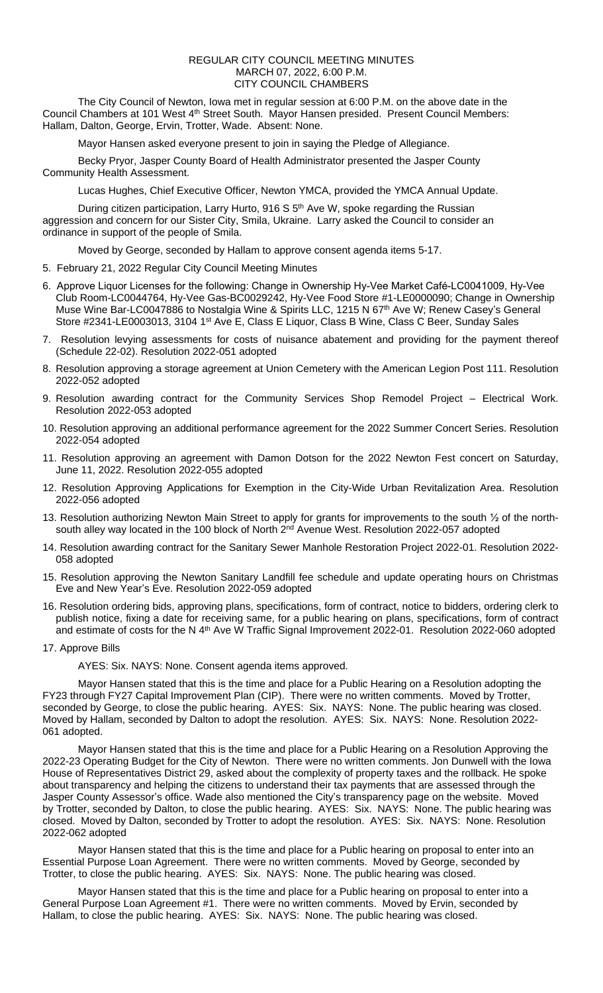## REGULAR CITY COUNCIL MEETING MINUTES MARCH 07, 2022, 6:00 P.M. CITY COUNCIL CHAMBERS

The City Council of Newton, Iowa met in regular session at 6:00 P.M. on the above date in the Council Chambers at 101 West 4<sup>th</sup> Street South. Mayor Hansen presided. Present Council Members: Hallam, Dalton, George, Ervin, Trotter, Wade. Absent: None.

Mayor Hansen asked everyone present to join in saying the Pledge of Allegiance.

Becky Pryor, Jasper County Board of Health Administrator presented the Jasper County Community Health Assessment.

Lucas Hughes, Chief Executive Officer, Newton YMCA, provided the YMCA Annual Update.

During citizen participation, Larry Hurto, 916 S  $5<sup>th</sup>$  Ave W, spoke regarding the Russian aggression and concern for our Sister City, Smila, Ukraine. Larry asked the Council to consider an ordinance in support of the people of Smila.

Moved by George, seconded by Hallam to approve consent agenda items 5-17.

- 5. February 21, 2022 Regular City Council Meeting Minutes
- 6. Approve Liquor Licenses for the following: Change in Ownership Hy-Vee Market Café-LC0041009, Hy-Vee Club Room-LC0044764, Hy-Vee Gas-BC0029242, Hy-Vee Food Store #1-LE0000090; Change in Ownership Muse Wine Bar-LC0047886 to Nostalgia Wine & Spirits LLC, 1215 N 67th Ave W; Renew Casey's General Store #2341-LE0003013, 3104 1st Ave E, Class E Liquor, Class B Wine, Class C Beer, Sunday Sales
- 7. Resolution levying assessments for costs of nuisance abatement and providing for the payment thereof (Schedule 22-02). Resolution 2022-051 adopted
- 8. Resolution approving a storage agreement at Union Cemetery with the American Legion Post 111. Resolution 2022-052 adopted
- 9. Resolution awarding contract for the Community Services Shop Remodel Project Electrical Work. Resolution 2022-053 adopted
- 10. Resolution approving an additional performance agreement for the 2022 Summer Concert Series. Resolution 2022-054 adopted
- 11. Resolution approving an agreement with Damon Dotson for the 2022 Newton Fest concert on Saturday, June 11, 2022. Resolution 2022-055 adopted
- 12. Resolution Approving Applications for Exemption in the City-Wide Urban Revitalization Area. Resolution 2022-056 adopted
- 13. Resolution authorizing Newton Main Street to apply for grants for improvements to the south ½ of the northsouth alley way located in the 100 block of North  $2<sup>nd</sup>$  Avenue West. Resolution 2022-057 adopted
- 14. Resolution awarding contract for the Sanitary Sewer Manhole Restoration Project 2022-01. Resolution 2022- 058 adopted
- 15. Resolution approving the Newton Sanitary Landfill fee schedule and update operating hours on Christmas Eve and New Year's Eve. Resolution 2022-059 adopted
- 16. Resolution ordering bids, approving plans, specifications, form of contract, notice to bidders, ordering clerk to publish notice, fixing a date for receiving same, for a public hearing on plans, specifications, form of contract and estimate of costs for the N 4<sup>th</sup> Ave W Traffic Signal Improvement 2022-01. Resolution 2022-060 adopted
- 17. Approve Bills

AYES: Six. NAYS: None. Consent agenda items approved.

Mayor Hansen stated that this is the time and place for a Public Hearing on a Resolution adopting the FY23 through FY27 Capital Improvement Plan (CIP). There were no written comments. Moved by Trotter, seconded by George, to close the public hearing. AYES: Six. NAYS: None. The public hearing was closed. Moved by Hallam, seconded by Dalton to adopt the resolution. AYES: Six. NAYS: None. Resolution 2022- 061 adopted.

Mayor Hansen stated that this is the time and place for a Public Hearing on a Resolution Approving the 2022-23 Operating Budget for the City of Newton. There were no written comments. Jon Dunwell with the Iowa House of Representatives District 29, asked about the complexity of property taxes and the rollback. He spoke about transparency and helping the citizens to understand their tax payments that are assessed through the Jasper County Assessor's office. Wade also mentioned the City's transparency page on the website. Moved by Trotter, seconded by Dalton, to close the public hearing. AYES: Six. NAYS: None. The public hearing was closed. Moved by Dalton, seconded by Trotter to adopt the resolution. AYES: Six. NAYS: None. Resolution 2022-062 adopted

Mayor Hansen stated that this is the time and place for a Public hearing on proposal to enter into an Essential Purpose Loan Agreement. There were no written comments. Moved by George, seconded by Trotter, to close the public hearing. AYES: Six. NAYS: None. The public hearing was closed.

Mayor Hansen stated that this is the time and place for a Public hearing on proposal to enter into a General Purpose Loan Agreement #1. There were no written comments. Moved by Ervin, seconded by Hallam, to close the public hearing. AYES: Six. NAYS: None. The public hearing was closed.